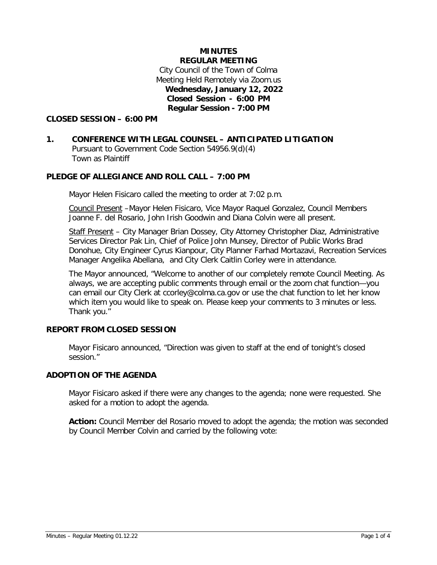### **MINUTES REGULAR MEETING** City Council of the Town of Colma Meeting Held Remotely via Zoom.us **Wednesday, January 12, 2022 Closed Session - 6:00 PM Regular Session - 7:00 PM**

### **CLOSED SESSION – 6:00 PM**

**1. CONFERENCE WITH LEGAL COUNSEL – ANTICIPATED LITIGATION** Pursuant to Government Code Section 54956.9(d)(4) Town as Plaintiff

### **PLEDGE OF ALLEGIANCE AND ROLL CALL – 7:00 PM**

Mayor Helen Fisicaro called the meeting to order at 7:02 p.m.

Council Present –Mayor Helen Fisicaro, Vice Mayor Raquel Gonzalez, Council Members Joanne F. del Rosario, John Irish Goodwin and Diana Colvin were all present.

Staff Present - City Manager Brian Dossey, City Attorney Christopher Diaz, Administrative Services Director Pak Lin, Chief of Police John Munsey, Director of Public Works Brad Donohue, City Engineer Cyrus Kianpour, City Planner Farhad Mortazavi, Recreation Services Manager Angelika Abellana, and City Clerk Caitlin Corley were in attendance.

The Mayor announced, "Welcome to another of our completely remote Council Meeting. As always, we are accepting public comments through email or the zoom chat function—you can email our City Clerk at ccorley@colma.ca.gov or use the chat function to let her know which item you would like to speak on. Please keep your comments to 3 minutes or less. Thank you."

### **REPORT FROM CLOSED SESSION**

Mayor Fisicaro announced, "Direction was given to staff at the end of tonight's closed session."

#### **ADOPTION OF THE AGENDA**

Mayor Fisicaro asked if there were any changes to the agenda; none were requested. She asked for a motion to adopt the agenda.

**Action:** Council Member del Rosario moved to adopt the agenda; the motion was seconded by Council Member Colvin and carried by the following vote: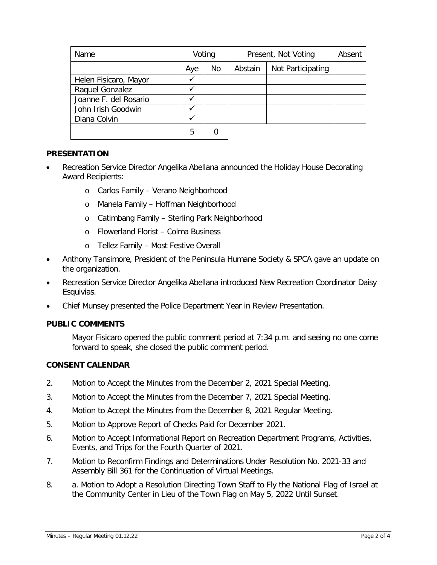| Name                  | Voting |    | Present, Not Voting |                   | Absent |
|-----------------------|--------|----|---------------------|-------------------|--------|
|                       | Aye    | No | Abstain             | Not Participating |        |
| Helen Fisicaro, Mayor |        |    |                     |                   |        |
| Raquel Gonzalez       |        |    |                     |                   |        |
| Joanne F. del Rosario |        |    |                     |                   |        |
| John Irish Goodwin    |        |    |                     |                   |        |
| Diana Colvin          |        |    |                     |                   |        |
|                       | 5      |    |                     |                   |        |

# **PRESENTATION**

- Recreation Service Director Angelika Abellana announced the Holiday House Decorating Award Recipients:
	- o Carlos Family Verano Neighborhood
	- o Manela Family Hoffman Neighborhood
	- o Catimbang Family Sterling Park Neighborhood
	- o Flowerland Florist Colma Business
	- o Tellez Family Most Festive Overall
- Anthony Tansimore, President of the Peninsula Humane Society & SPCA gave an update on the organization.
- Recreation Service Director Angelika Abellana introduced New Recreation Coordinator Daisy Esquivias.
- Chief Munsey presented the Police Department Year in Review Presentation.

### **PUBLIC COMMENTS**

Mayor Fisicaro opened the public comment period at 7:34 p.m. and seeing no one come forward to speak, she closed the public comment period.

### **CONSENT CALENDAR**

- 2. Motion to Accept the Minutes from the December 2, 2021 Special Meeting.
- 3. Motion to Accept the Minutes from the December 7, 2021 Special Meeting.
- 4. Motion to Accept the Minutes from the December 8, 2021 Regular Meeting.
- 5. Motion to Approve Report of Checks Paid for December 2021.
- 6. Motion to Accept Informational Report on Recreation Department Programs, Activities, Events, and Trips for the Fourth Quarter of 2021.
- 7. Motion to Reconfirm Findings and Determinations Under Resolution No. 2021-33 and Assembly Bill 361 for the Continuation of Virtual Meetings.
- 8. a. Motion to Adopt a Resolution Directing Town Staff to Fly the National Flag of Israel at the Community Center in Lieu of the Town Flag on May 5, 2022 Until Sunset.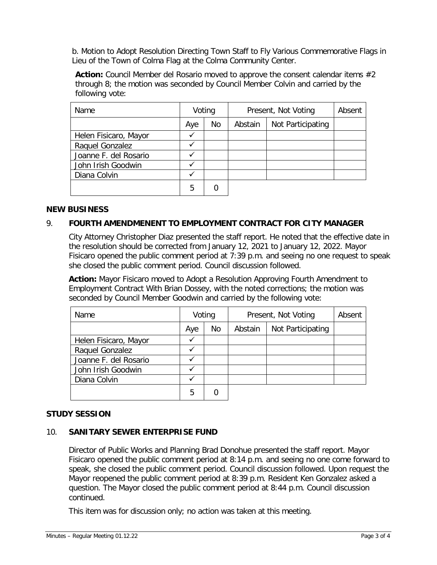b. Motion to Adopt Resolution Directing Town Staff to Fly Various Commemorative Flags in Lieu of the Town of Colma Flag at the Colma Community Center.

Action: Council Member del Rosario moved to approve the consent calendar items #2 through 8; the motion was seconded by Council Member Colvin and carried by the following vote:

| Name                  | Voting |    | Present, Not Voting |                   | Absent |
|-----------------------|--------|----|---------------------|-------------------|--------|
|                       | Aye    | No | Abstain             | Not Participating |        |
| Helen Fisicaro, Mayor |        |    |                     |                   |        |
| Raquel Gonzalez       |        |    |                     |                   |        |
| Joanne F. del Rosario |        |    |                     |                   |        |
| John Irish Goodwin    |        |    |                     |                   |        |
| Diana Colvin          |        |    |                     |                   |        |
|                       | 5      | 0  |                     |                   |        |

### **NEW BUSINESS**

# 9. **FOURTH AMENDMENENT TO EMPLOYMENT CONTRACT FOR CITY MANAGER**

City Attorney Christopher Diaz presented the staff report. He noted that the effective date in the resolution should be corrected from January 12, 2021 to January 12, 2022. Mayor Fisicaro opened the public comment period at 7:39 p.m. and seeing no one request to speak she closed the public comment period. Council discussion followed.

**Action:** Mayor Fisicaro moved to Adopt a Resolution Approving Fourth Amendment to Employment Contract With Brian Dossey, with the noted corrections; the motion was seconded by Council Member Goodwin and carried by the following vote:

| Name                  | Voting |    | Present, Not Voting |                   | Absent |
|-----------------------|--------|----|---------------------|-------------------|--------|
|                       | Aye    | No | Abstain             | Not Participating |        |
| Helen Fisicaro, Mayor |        |    |                     |                   |        |
| Raquel Gonzalez       |        |    |                     |                   |        |
| Joanne F. del Rosario |        |    |                     |                   |        |
| John Irish Goodwin    |        |    |                     |                   |        |
| Diana Colvin          |        |    |                     |                   |        |
|                       | 5      |    |                     |                   |        |

# **STUDY SESSION**

## 10. **SANITARY SEWER ENTERPRISE FUND**

Director of Public Works and Planning Brad Donohue presented the staff report. Mayor Fisicaro opened the public comment period at 8:14 p.m. and seeing no one come forward to speak, she closed the public comment period. Council discussion followed. Upon request the Mayor reopened the public comment period at 8:39 p.m. Resident Ken Gonzalez asked a question. The Mayor closed the public comment period at 8:44 p.m. Council discussion continued.

This item was for discussion only; no action was taken at this meeting.